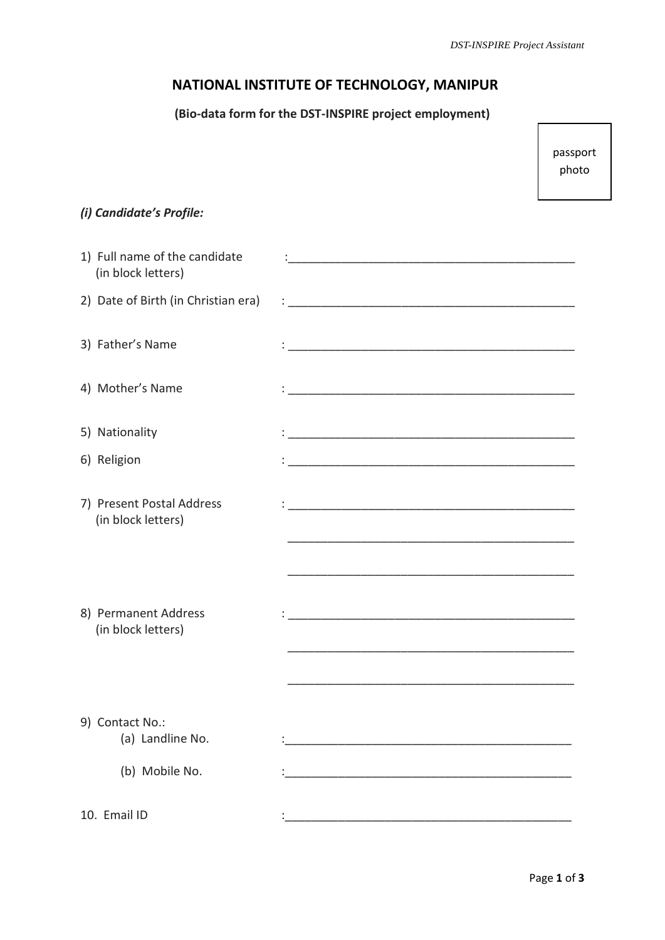# **NATIONAL INSTITUTE OF TECHNOLOGY, MANIPUR**

## **(Bio-data form for the DST-INSPIRE project employment)**

|                                                     |                                                            | passport<br>photo |
|-----------------------------------------------------|------------------------------------------------------------|-------------------|
| (i) Candidate's Profile:                            |                                                            |                   |
| 1) Full name of the candidate<br>(in block letters) |                                                            |                   |
| 2) Date of Birth (in Christian era)                 |                                                            |                   |
| 3) Father's Name                                    |                                                            |                   |
| 4) Mother's Name                                    |                                                            |                   |
| 5) Nationality                                      |                                                            |                   |
| 6) Religion                                         |                                                            |                   |
| 7) Present Postal Address<br>(in block letters)     |                                                            |                   |
| 8) Permanent Address<br>(in block letters)          | <u> 1989 - Johann Barn, amerikansk politiker (d. 1989)</u> |                   |
| 9) Contact No.:<br>(a) Landline No.                 |                                                            |                   |
| (b) Mobile No.                                      |                                                            |                   |
| 10. Email ID                                        |                                                            |                   |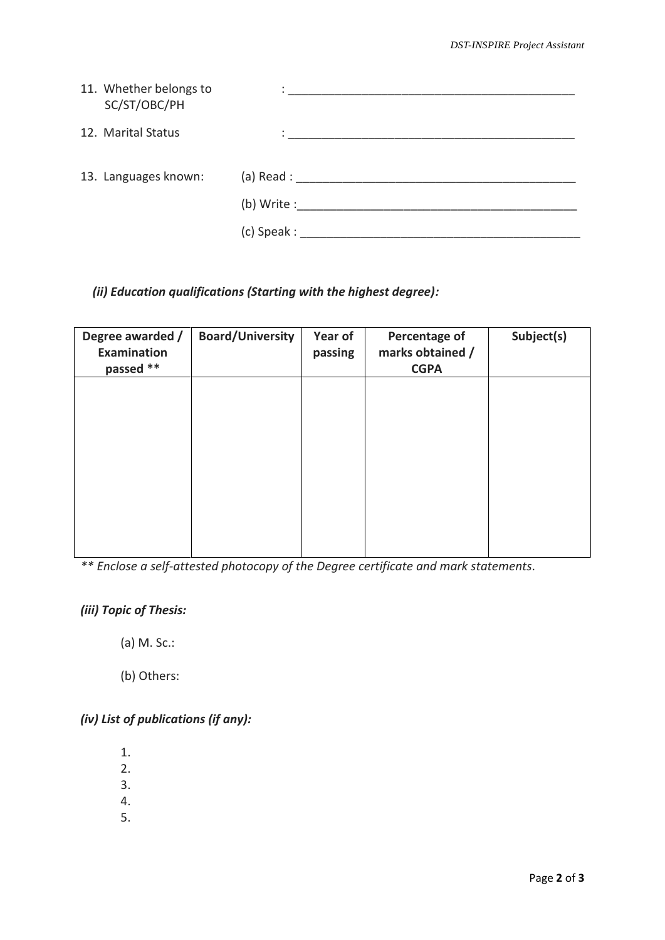| 11. Whether belongs to<br>SC/ST/OBC/PH |                                                                                                                                                                                                                                |  |
|----------------------------------------|--------------------------------------------------------------------------------------------------------------------------------------------------------------------------------------------------------------------------------|--|
| 12. Marital Status                     |                                                                                                                                                                                                                                |  |
| 13. Languages known:                   | (a) Read : $\qquad \qquad$                                                                                                                                                                                                     |  |
|                                        | (b) Write :                                                                                                                                                                                                                    |  |
|                                        | (c) Speak : the contract of the contract of the contract of the contract of the contract of the contract of the contract of the contract of the contract of the contract of the contract of the contract of the contract of th |  |

*(ii) Education qualifications (Starting with the highest degree):*

| Degree awarded /<br>Examination<br>passed ** | <b>Board/University</b> | Year of<br>passing | Percentage of<br>marks obtained /<br><b>CGPA</b> | Subject(s) |
|----------------------------------------------|-------------------------|--------------------|--------------------------------------------------|------------|
|                                              |                         |                    |                                                  |            |
|                                              |                         |                    |                                                  |            |
|                                              |                         |                    |                                                  |            |
|                                              |                         |                    |                                                  |            |

*\*\* Enclose a self-attested photocopy of the Degree certificate and mark statements.*

## *(iii) Topic of Thesis:*

(a) M. Sc.:

(b) Others:

## *(iv) List of publications (if any):*

1.

2.

- 3.
- 4.
- 5.